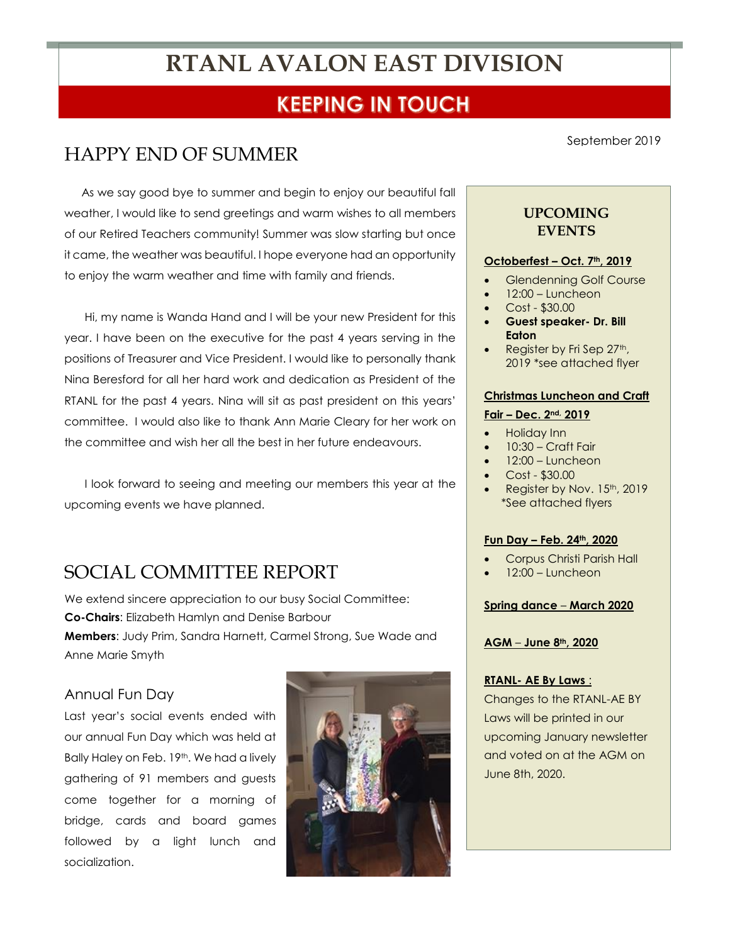# **RTANL AVALON EAST DIVISION**

## **KEEPING IN TOUCH**

## HAPPY END OF SUMMER

As we say good bye to summer and begin to enjoy our beautiful fall weather, I would like to send greetings and warm wishes to all members of our Retired Teachers community! Summer was slow starting but once it came, the weather was beautiful. I hope everyone had an opportunity to enjoy the warm weather and time with family and friends.

Hi, my name is Wanda Hand and I will be your new President for this year. I have been on the executive for the past 4 years serving in the positions of Treasurer and Vice President. I would like to personally thank Nina Beresford for all her hard work and dedication as President of the RTANL for the past 4 years. Nina will sit as past president on this years' committee. I would also like to thank Ann Marie Cleary for her work on the committee and wish her all the best in her future endeavours.

I look forward to seeing and meeting our members this year at the upcoming events we have planned.

## SOCIAL COMMITTEE REPORT

We extend sincere appreciation to our busy Social Committee: **Co-Chairs**: Elizabeth Hamlyn and Denise Barbour **Members**: Judy Prim, Sandra Harnett, Carmel Strong, Sue Wade and Anne Marie Smyth

### Annual Fun Day

Last year's social events ended with our annual Fun Day which was held at Bally Haley on Feb. 19<sup>th</sup>. We had a lively gathering of 91 members and guests come together for a morning of bridge, cards and board games followed by a light lunch and socialization.



September 2019

## **UPCOMING EVENTS**

#### **Octoberfest – Oct. 7th, 2019**

- Glendenning Golf Course
- 12:00 Luncheon
- Cost \$30.00
- **Guest speaker- Dr. Bill Eaton**
- Register by Fri Sep 27th, 2019 \*see attached flyer

#### **Christmas Luncheon and Craft**

### **Fair – Dec. 2nd, 2019**

- Holiday Inn
- 10:30 Craft Fair
- $12:00 -$ Luncheon
- Cost \$30.00
- Register by Nov. 15th, 2019 \*See attached flyers

#### **Fun Day – Feb. 24th, 2020**

- Corpus Christi Parish Hall
- $12:00$  Luncheon

#### **Spring dance** – **March 2020**

#### **AGM** – **June 8th, 2020**

#### **RTANL- AE By Laws** :

Changes to the RTANL-AE BY Laws will be printed in our upcoming January newsletter and voted on at the AGM on June 8th, 2020.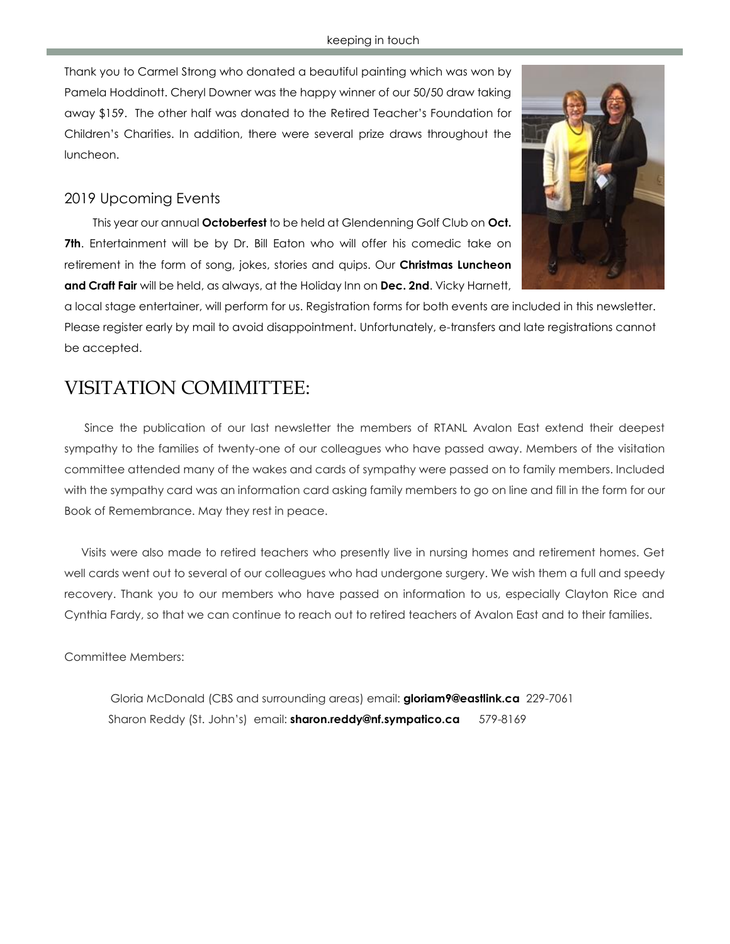Thank you to Carmel Strong who donated a beautiful painting which was won by Pamela Hoddinott. Cheryl Downer was the happy winner of our 50/50 draw taking away \$159. The other half was donated to the Retired Teacher's Foundation for Children's Charities. In addition, there were several prize draws throughout the luncheon.

## 2019 Upcoming Events

 This year our annual **Octoberfest** to be held at Glendenning Golf Club on **Oct. 7th**. Entertainment will be by Dr. Bill Eaton who will offer his comedic take on retirement in the form of song, jokes, stories and quips. Our **Christmas Luncheon and Craft Fair** will be held, as always, at the Holiday Inn on **Dec. 2nd**. Vicky Harnett,

a local stage entertainer, will perform for us. Registration forms for both events are included in this newsletter. Please register early by mail to avoid disappointment. Unfortunately, e-transfers and late registrations cannot be accepted.

## VISITATION COMIMITTEE:

Since the publication of our last newsletter the members of RTANL Avalon East extend their deepest sympathy to the families of twenty-one of our colleagues who have passed away. Members of the visitation committee attended many of the wakes and cards of sympathy were passed on to family members. Included with the sympathy card was an information card asking family members to go on line and fill in the form for our Book of Remembrance. May they rest in peace.

Visits were also made to retired teachers who presently live in nursing homes and retirement homes. Get well cards went out to several of our colleagues who had undergone surgery. We wish them a full and speedy recovery. Thank you to our members who have passed on information to us, especially Clayton Rice and Cynthia Fardy, so that we can continue to reach out to retired teachers of Avalon East and to their families.

Committee Members:

Gloria McDonald (CBS and surrounding areas) email: **[gloriam9@eastlink.ca](mailto:gloriam9@eastlink.ca)** 229-7061 Sharon Reddy (St. John's) email: **[sharon.reddy@nf.sympatico.ca](mailto:sharon.reddy@nf.sympatico.ca)** 579-8169

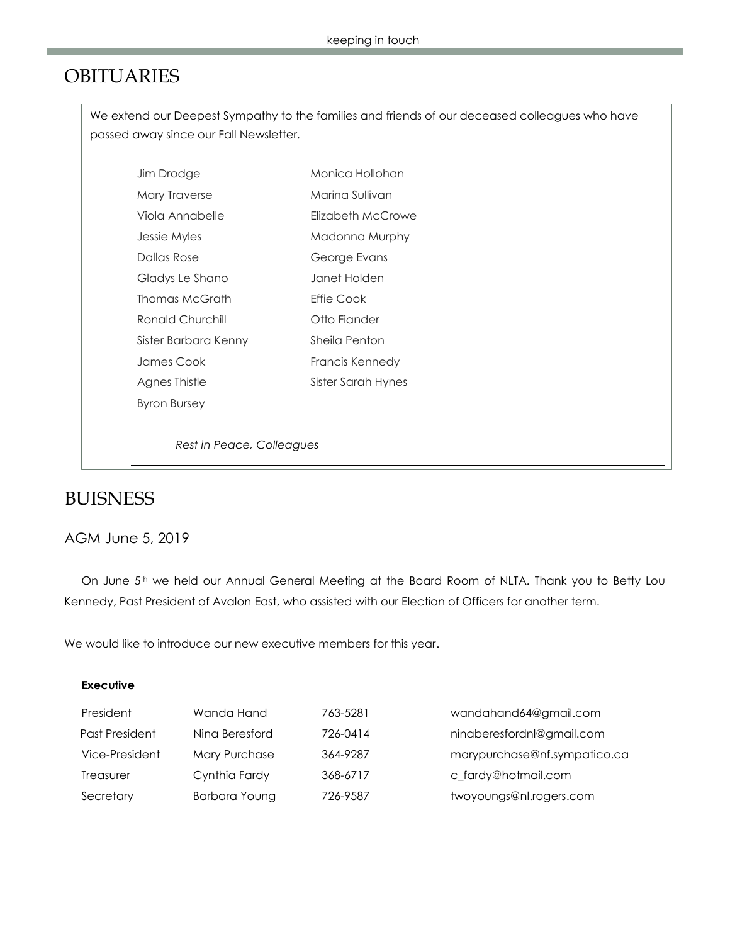## OBITUARIES

We extend our Deepest Sympathy to the families and friends of our deceased colleagues who have passed away since our Fall Newsletter.

| Jim Drodge           | Monica Hollohan    |
|----------------------|--------------------|
| Mary Traverse        | Marina Sullivan    |
| Viola Annabelle      | Flizabeth McCrowe  |
| Jessie Myles         | Madonna Murphy     |
| Dallas Rose          | George Evans       |
| Gladys Le Shano      | Janet Holden       |
| Thomas McGrath       | <b>Fffie Cook</b>  |
| Ronald Churchill     | Otto Fiander       |
| Sister Barbara Kenny | Sheila Penton      |
| James Cook           | Francis Kennedy    |
| Agnes Thistle        | Sister Sarah Hynes |
| Byron Bursey         |                    |
|                      |                    |

*Rest in Peace, Colleagues*

## BUISNESS

## AGM June 5, 2019

On June 5<sup>th</sup> we held our Annual General Meeting at the Board Room of NLTA. Thank you to Betty Lou Kennedy, Past President of Avalon East, who assisted with our Election of Officers for another term.

We would like to introduce our new executive members for this year.

### **Executive**

| President      | Wanda Hand     | 763-5281 | wandahand64@gmail.com        |
|----------------|----------------|----------|------------------------------|
| Past President | Nina Beresford | 726-0414 | ninaberesfordnl@gmail.com    |
| Vice-President | Mary Purchase  | 364-9287 | marypurchase@nf.sympatico.ca |
| Treasurer      | Cynthia Fardy  | 368-6717 | c fardy@hotmail.com          |
| Secretary      | Barbara Young  | 726-9587 | twoyoungs@nl.rogers.com      |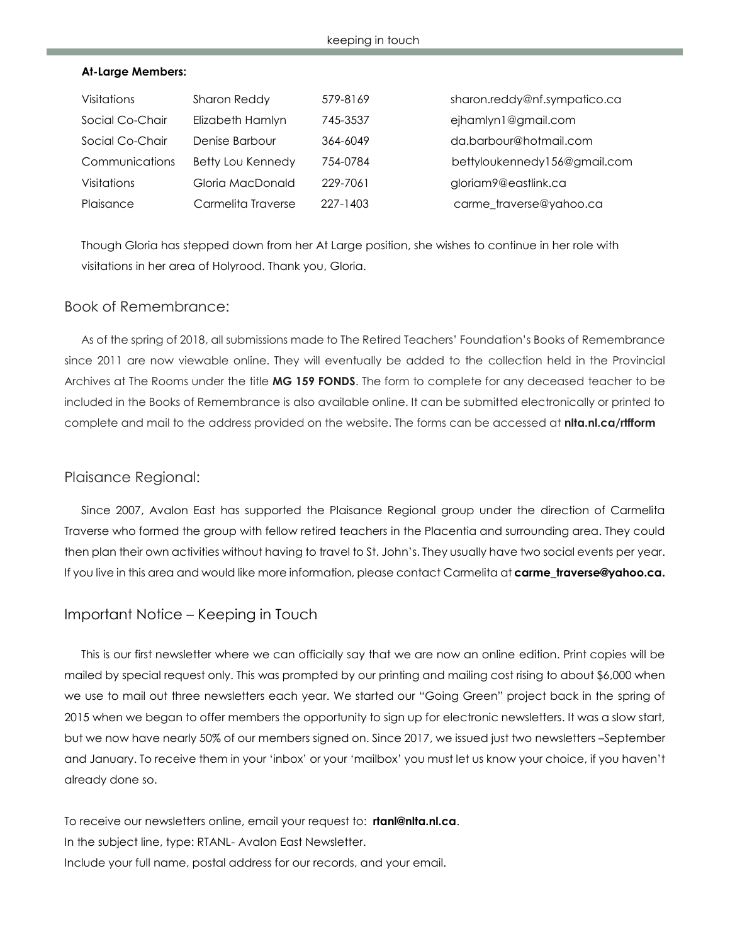#### **At-Large Members:**

| Visitations     | Sharon Reddy       | 579-8169 | sharon.reddy@nf.sympatico.ca |
|-----------------|--------------------|----------|------------------------------|
| Social Co-Chair | Elizabeth Hamlyn   | 745-3537 | ejhamlyn1@gmail.com          |
| Social Co-Chair | Denise Barbour     | 364-6049 | da.barbour@hotmail.com       |
| Communications  | Betty Lou Kennedy  | 754-0784 | bettyloukennedy156@gmail.com |
| Visitations     | Gloria MacDonald   | 229-7061 | gloriam9@eastlink.ca         |
| Plaisance       | Carmelita Traverse | 227-1403 | carme_traverse@yahoo.ca      |

Though Gloria has stepped down from her At Large position, she wishes to continue in her role with visitations in her area of Holyrood. Thank you, Gloria.

### Book of Remembrance:

As of the spring of 2018, all submissions made to The Retired Teachers' Foundation's Books of Remembrance since 2011 are now viewable online. They will eventually be added to the collection held in the Provincial Archives at The Rooms under the title **MG 159 FONDS**. The form to complete for any deceased teacher to be included in the Books of Remembrance is also available online. It can be submitted electronically or printed to complete and mail to the address provided on the website. The forms can be accessed at **nlta.nl.ca/rtfform**

### Plaisance Regional:

Since 2007, Avalon East has supported the Plaisance Regional group under the direction of Carmelita Traverse who formed the group with fellow retired teachers in the Placentia and surrounding area. They could then plan their own activities without having to travel to St. John's. They usually have two social events per year. If you live in this area and would like more information, please contact Carmelita at **carme\_traverse@yahoo.ca.**

### Important Notice – Keeping in Touch

This is our first newsletter where we can officially say that we are now an online edition. Print copies will be mailed by special request only. This was prompted by our printing and mailing cost rising to about \$6,000 when we use to mail out three newsletters each year. We started our "Going Green" project back in the spring of 2015 when we began to offer members the opportunity to sign up for electronic newsletters. It was a slow start, but we now have nearly 50% of our members signed on. Since 2017, we issued just two newsletters –September and January. To receive them in your 'inbox' or your 'mailbox' you must let us know your choice, if you haven't already done so.

To receive our newsletters online, email your request to: **[rtanl@nlta.nl.ca](mailto:rtanl@nlta.nl.ca)**. In the subject line, type: RTANL- Avalon East Newsletter. Include your full name, postal address for our records, and your email.